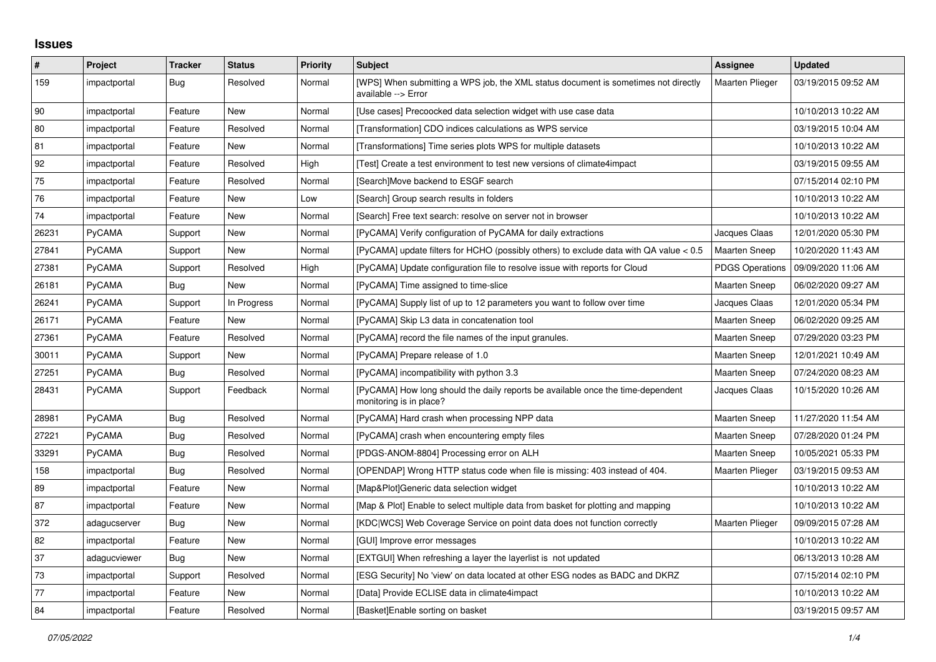## **Issues**

| $\vert$ # | Project      | <b>Tracker</b> | <b>Status</b> | <b>Priority</b> | <b>Subject</b>                                                                                             | Assignee               | <b>Updated</b>      |
|-----------|--------------|----------------|---------------|-----------------|------------------------------------------------------------------------------------------------------------|------------------------|---------------------|
| 159       | impactportal | Bug            | Resolved      | Normal          | [WPS] When submitting a WPS job, the XML status document is sometimes not directly<br>available --> Error  | <b>Maarten Plieger</b> | 03/19/2015 09:52 AM |
| 90        | impactportal | Feature        | <b>New</b>    | Normal          | [Use cases] Precoocked data selection widget with use case data                                            |                        | 10/10/2013 10:22 AM |
| 80        | impactportal | Feature        | Resolved      | Normal          | [Transformation] CDO indices calculations as WPS service                                                   |                        | 03/19/2015 10:04 AM |
| 81        | impactportal | Feature        | New           | Normal          | [Transformations] Time series plots WPS for multiple datasets                                              |                        | 10/10/2013 10:22 AM |
| 92        | impactportal | Feature        | Resolved      | High            | [Test] Create a test environment to test new versions of climate4impact                                    |                        | 03/19/2015 09:55 AM |
| 75        | impactportal | Feature        | Resolved      | Normal          | [Search]Move backend to ESGF search                                                                        |                        | 07/15/2014 02:10 PM |
| 76        | impactportal | Feature        | New           | Low             | [Search] Group search results in folders                                                                   |                        | 10/10/2013 10:22 AM |
| 74        | impactportal | Feature        | <b>New</b>    | Normal          | [Search] Free text search: resolve on server not in browser                                                |                        | 10/10/2013 10:22 AM |
| 26231     | PyCAMA       | Support        | New           | Normal          | [PyCAMA] Verify configuration of PyCAMA for daily extractions                                              | Jacques Claas          | 12/01/2020 05:30 PM |
| 27841     | PyCAMA       | Support        | New           | Normal          | [PyCAMA] update filters for HCHO (possibly others) to exclude data with QA value < 0.5                     | <b>Maarten Sneep</b>   | 10/20/2020 11:43 AM |
| 27381     | PyCAMA       | Support        | Resolved      | High            | [PyCAMA] Update configuration file to resolve issue with reports for Cloud                                 | <b>PDGS Operations</b> | 09/09/2020 11:06 AM |
| 26181     | PyCAMA       | Bug            | <b>New</b>    | Normal          | [PyCAMA] Time assigned to time-slice                                                                       | <b>Maarten Sneep</b>   | 06/02/2020 09:27 AM |
| 26241     | PyCAMA       | Support        | In Progress   | Normal          | [PyCAMA] Supply list of up to 12 parameters you want to follow over time                                   | Jacques Claas          | 12/01/2020 05:34 PM |
| 26171     | PyCAMA       | Feature        | New           | Normal          | [PyCAMA] Skip L3 data in concatenation tool                                                                | <b>Maarten Sneep</b>   | 06/02/2020 09:25 AM |
| 27361     | PyCAMA       | Feature        | Resolved      | Normal          | [PyCAMA] record the file names of the input granules.                                                      | <b>Maarten Sneep</b>   | 07/29/2020 03:23 PM |
| 30011     | PyCAMA       | Support        | New           | Normal          | [PyCAMA] Prepare release of 1.0                                                                            | <b>Maarten Sneep</b>   | 12/01/2021 10:49 AM |
| 27251     | PyCAMA       | Bug            | Resolved      | Normal          | [PyCAMA] incompatibility with python 3.3                                                                   | <b>Maarten Sneep</b>   | 07/24/2020 08:23 AM |
| 28431     | PyCAMA       | Support        | Feedback      | Normal          | [PyCAMA] How long should the daily reports be available once the time-dependent<br>monitoring is in place? | Jacques Claas          | 10/15/2020 10:26 AM |
| 28981     | PyCAMA       | Bug            | Resolved      | Normal          | [PyCAMA] Hard crash when processing NPP data                                                               | Maarten Sneep          | 11/27/2020 11:54 AM |
| 27221     | PyCAMA       | Bug            | Resolved      | Normal          | [PyCAMA] crash when encountering empty files                                                               | <b>Maarten Sneep</b>   | 07/28/2020 01:24 PM |
| 33291     | PyCAMA       | <b>Bug</b>     | Resolved      | Normal          | [PDGS-ANOM-8804] Processing error on ALH                                                                   | Maarten Sneep          | 10/05/2021 05:33 PM |
| 158       | impactportal | <b>Bug</b>     | Resolved      | Normal          | [OPENDAP] Wrong HTTP status code when file is missing: 403 instead of 404.                                 | Maarten Plieger        | 03/19/2015 09:53 AM |
| 89        | impactportal | Feature        | New           | Normal          | [Map&Plot]Generic data selection widget                                                                    |                        | 10/10/2013 10:22 AM |
| 87        | impactportal | Feature        | New           | Normal          | [Map & Plot] Enable to select multiple data from basket for plotting and mapping                           |                        | 10/10/2013 10:22 AM |
| 372       | adagucserver | Bug            | New           | Normal          | [KDC WCS] Web Coverage Service on point data does not function correctly                                   | <b>Maarten Plieger</b> | 09/09/2015 07:28 AM |
| 82        | impactportal | Feature        | New           | Normal          | [GUI] Improve error messages                                                                               |                        | 10/10/2013 10:22 AM |
| 37        | adagucviewer | Bug            | New           | Normal          | [EXTGUI] When refreshing a layer the layerlist is not updated                                              |                        | 06/13/2013 10:28 AM |
| 73        | impactportal | Support        | Resolved      | Normal          | [ESG Security] No 'view' on data located at other ESG nodes as BADC and DKRZ                               |                        | 07/15/2014 02:10 PM |
| 77        | impactportal | Feature        | <b>New</b>    | Normal          | [Data] Provide ECLISE data in climate4impact                                                               |                        | 10/10/2013 10:22 AM |
| 84        | impactportal | Feature        | Resolved      | Normal          | [Basket]Enable sorting on basket                                                                           |                        | 03/19/2015 09:57 AM |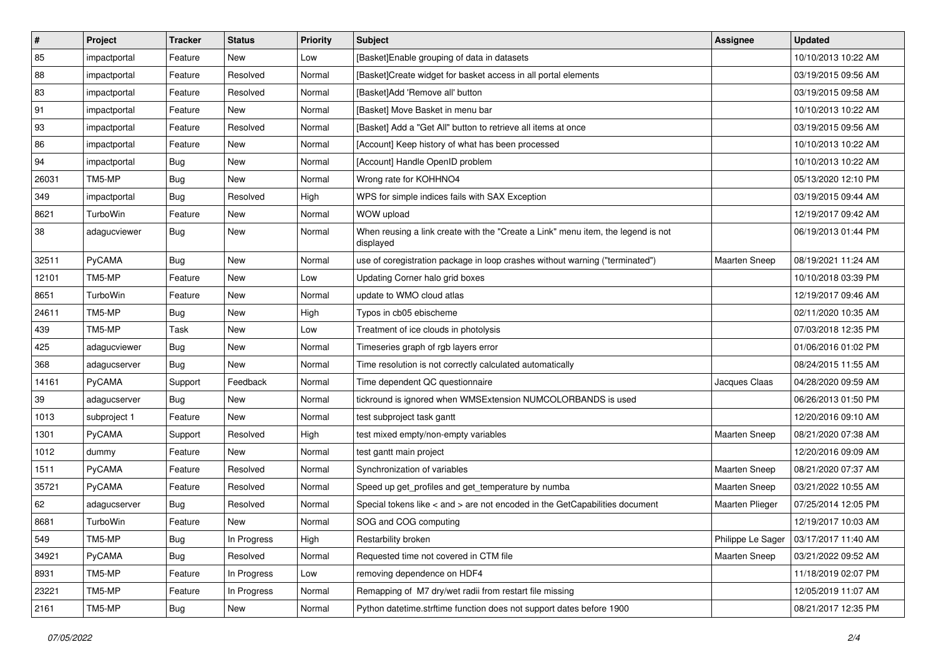| $\pmb{\#}$ | Project      | <b>Tracker</b> | <b>Status</b> | <b>Priority</b> | <b>Subject</b>                                                                                | <b>Assignee</b>      | <b>Updated</b>      |
|------------|--------------|----------------|---------------|-----------------|-----------------------------------------------------------------------------------------------|----------------------|---------------------|
| 85         | impactportal | Feature        | New           | Low             | [Basket]Enable grouping of data in datasets                                                   |                      | 10/10/2013 10:22 AM |
| 88         | impactportal | Feature        | Resolved      | Normal          | [Basket]Create widget for basket access in all portal elements                                |                      | 03/19/2015 09:56 AM |
| 83         | impactportal | Feature        | Resolved      | Normal          | [Basket]Add 'Remove all' button                                                               |                      | 03/19/2015 09:58 AM |
| 91         | impactportal | Feature        | New           | Normal          | [Basket] Move Basket in menu bar                                                              |                      | 10/10/2013 10:22 AM |
| 93         | impactportal | Feature        | Resolved      | Normal          | [Basket] Add a "Get All" button to retrieve all items at once                                 |                      | 03/19/2015 09:56 AM |
| 86         | impactportal | Feature        | New           | Normal          | [Account] Keep history of what has been processed                                             |                      | 10/10/2013 10:22 AM |
| 94         | impactportal | <b>Bug</b>     | <b>New</b>    | Normal          | [Account] Handle OpenID problem                                                               |                      | 10/10/2013 10:22 AM |
| 26031      | TM5-MP       | <b>Bug</b>     | New           | Normal          | Wrong rate for KOHHNO4                                                                        |                      | 05/13/2020 12:10 PM |
| 349        | impactportal | Bug            | Resolved      | High            | WPS for simple indices fails with SAX Exception                                               |                      | 03/19/2015 09:44 AM |
| 8621       | TurboWin     | Feature        | <b>New</b>    | Normal          | WOW upload                                                                                    |                      | 12/19/2017 09:42 AM |
| 38         | adagucviewer | <b>Bug</b>     | New           | Normal          | When reusing a link create with the "Create a Link" menu item, the legend is not<br>displayed |                      | 06/19/2013 01:44 PM |
| 32511      | PyCAMA       | <b>Bug</b>     | <b>New</b>    | Normal          | use of coregistration package in loop crashes without warning ("terminated")                  | <b>Maarten Sneep</b> | 08/19/2021 11:24 AM |
| 12101      | TM5-MP       | Feature        | New           | Low             | Updating Corner halo grid boxes                                                               |                      | 10/10/2018 03:39 PM |
| 8651       | TurboWin     | Feature        | <b>New</b>    | Normal          | update to WMO cloud atlas                                                                     |                      | 12/19/2017 09:46 AM |
| 24611      | TM5-MP       | <b>Bug</b>     | New           | High            | Typos in cb05 ebischeme                                                                       |                      | 02/11/2020 10:35 AM |
| 439        | TM5-MP       | Task           | New           | Low             | Treatment of ice clouds in photolysis                                                         |                      | 07/03/2018 12:35 PM |
| 425        | adagucviewer | <b>Bug</b>     | <b>New</b>    | Normal          | Timeseries graph of rgb layers error                                                          |                      | 01/06/2016 01:02 PM |
| 368        | adagucserver | <b>Bug</b>     | New           | Normal          | Time resolution is not correctly calculated automatically                                     |                      | 08/24/2015 11:55 AM |
| 14161      | PyCAMA       | Support        | Feedback      | Normal          | Time dependent QC questionnaire                                                               | Jacques Claas        | 04/28/2020 09:59 AM |
| 39         | adagucserver | Bug            | New           | Normal          | tickround is ignored when WMSExtension NUMCOLORBANDS is used                                  |                      | 06/26/2013 01:50 PM |
| 1013       | subproject 1 | Feature        | <b>New</b>    | Normal          | test subproject task gantt                                                                    |                      | 12/20/2016 09:10 AM |
| 1301       | PyCAMA       | Support        | Resolved      | High            | test mixed empty/non-empty variables                                                          | <b>Maarten Sneep</b> | 08/21/2020 07:38 AM |
| 1012       | dummy        | Feature        | New           | Normal          | test gantt main project                                                                       |                      | 12/20/2016 09:09 AM |
| 1511       | PyCAMA       | Feature        | Resolved      | Normal          | Synchronization of variables                                                                  | Maarten Sneep        | 08/21/2020 07:37 AM |
| 35721      | PyCAMA       | Feature        | Resolved      | Normal          | Speed up get_profiles and get_temperature by numba                                            | <b>Maarten Sneep</b> | 03/21/2022 10:55 AM |
| 62         | adagucserver | <b>Bug</b>     | Resolved      | Normal          | Special tokens like < and > are not encoded in the GetCapabilities document                   | Maarten Plieger      | 07/25/2014 12:05 PM |
| 8681       | TurboWin     | Feature        | New           | Normal          | SOG and COG computing                                                                         |                      | 12/19/2017 10:03 AM |
| 549        | TM5-MP       | Bug            | In Progress   | High            | Restarbility broken                                                                           | Philippe Le Sager    | 03/17/2017 11:40 AM |
| 34921      | PyCAMA       | <b>Bug</b>     | Resolved      | Normal          | Requested time not covered in CTM file                                                        | Maarten Sneep        | 03/21/2022 09:52 AM |
| 8931       | TM5-MP       | Feature        | In Progress   | Low             | removing dependence on HDF4                                                                   |                      | 11/18/2019 02:07 PM |
| 23221      | TM5-MP       | Feature        | In Progress   | Normal          | Remapping of M7 dry/wet radii from restart file missing                                       |                      | 12/05/2019 11:07 AM |
| 2161       | TM5-MP       | <b>Bug</b>     | New           | Normal          | Python datetime.strftime function does not support dates before 1900                          |                      | 08/21/2017 12:35 PM |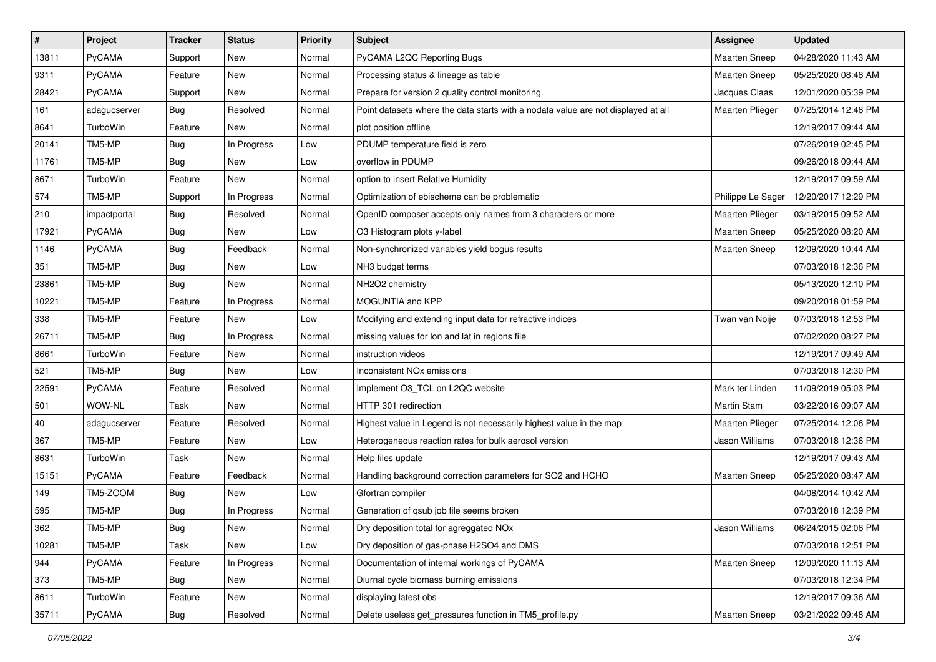| $\sharp$ | Project       | <b>Tracker</b> | <b>Status</b> | <b>Priority</b> | <b>Subject</b>                                                                    | Assignee               | <b>Updated</b>      |
|----------|---------------|----------------|---------------|-----------------|-----------------------------------------------------------------------------------|------------------------|---------------------|
| 13811    | PyCAMA        | Support        | New           | Normal          | PyCAMA L2QC Reporting Bugs                                                        | Maarten Sneep          | 04/28/2020 11:43 AM |
| 9311     | <b>PyCAMA</b> | Feature        | New           | Normal          | Processing status & lineage as table                                              | <b>Maarten Sneep</b>   | 05/25/2020 08:48 AM |
| 28421    | <b>PyCAMA</b> | Support        | New           | Normal          | Prepare for version 2 quality control monitoring.                                 | Jacques Claas          | 12/01/2020 05:39 PM |
| 161      | adagucserver  | Bug            | Resolved      | Normal          | Point datasets where the data starts with a nodata value are not displayed at all | <b>Maarten Plieger</b> | 07/25/2014 12:46 PM |
| 8641     | TurboWin      | Feature        | <b>New</b>    | Normal          | plot position offline                                                             |                        | 12/19/2017 09:44 AM |
| 20141    | TM5-MP        | <b>Bug</b>     | In Progress   | Low             | PDUMP temperature field is zero                                                   |                        | 07/26/2019 02:45 PM |
| 11761    | TM5-MP        | <b>Bug</b>     | New           | Low             | overflow in PDUMP                                                                 |                        | 09/26/2018 09:44 AM |
| 8671     | TurboWin      | Feature        | New           | Normal          | option to insert Relative Humidity                                                |                        | 12/19/2017 09:59 AM |
| 574      | TM5-MP        | Support        | In Progress   | Normal          | Optimization of ebischeme can be problematic                                      | Philippe Le Sager      | 12/20/2017 12:29 PM |
| 210      | impactportal  | <b>Bug</b>     | Resolved      | Normal          | OpenID composer accepts only names from 3 characters or more                      | Maarten Plieger        | 03/19/2015 09:52 AM |
| 17921    | <b>PyCAMA</b> | <b>Bug</b>     | New           | Low             | O3 Histogram plots y-label                                                        | Maarten Sneep          | 05/25/2020 08:20 AM |
| 1146     | PyCAMA        | <b>Bug</b>     | Feedback      | Normal          | Non-synchronized variables yield bogus results                                    | <b>Maarten Sneep</b>   | 12/09/2020 10:44 AM |
| 351      | TM5-MP        | <b>Bug</b>     | New           | Low             | NH3 budget terms                                                                  |                        | 07/03/2018 12:36 PM |
| 23861    | TM5-MP        | <b>Bug</b>     | New           | Normal          | NH2O2 chemistry                                                                   |                        | 05/13/2020 12:10 PM |
| 10221    | TM5-MP        | Feature        | In Progress   | Normal          | MOGUNTIA and KPP                                                                  |                        | 09/20/2018 01:59 PM |
| 338      | TM5-MP        | Feature        | <b>New</b>    | Low             | Modifying and extending input data for refractive indices                         | Twan van Noije         | 07/03/2018 12:53 PM |
| 26711    | TM5-MP        | <b>Bug</b>     | In Progress   | Normal          | missing values for lon and lat in regions file                                    |                        | 07/02/2020 08:27 PM |
| 8661     | TurboWin      | Feature        | New           | Normal          | instruction videos                                                                |                        | 12/19/2017 09:49 AM |
| 521      | TM5-MP        | <b>Bug</b>     | New           | Low             | Inconsistent NO <sub>x</sub> emissions                                            |                        | 07/03/2018 12:30 PM |
| 22591    | <b>PyCAMA</b> | Feature        | Resolved      | Normal          | Implement O3_TCL on L2QC website                                                  | Mark ter Linden        | 11/09/2019 05:03 PM |
| 501      | WOW-NL        | Task           | New           | Normal          | HTTP 301 redirection                                                              | Martin Stam            | 03/22/2016 09:07 AM |
| 40       | adagucserver  | Feature        | Resolved      | Normal          | Highest value in Legend is not necessarily highest value in the map               | Maarten Plieger        | 07/25/2014 12:06 PM |
| 367      | TM5-MP        | Feature        | New           | Low             | Heterogeneous reaction rates for bulk aerosol version                             | Jason Williams         | 07/03/2018 12:36 PM |
| 8631     | TurboWin      | Task           | New           | Normal          | Help files update                                                                 |                        | 12/19/2017 09:43 AM |
| 15151    | <b>PyCAMA</b> | Feature        | Feedback      | Normal          | Handling background correction parameters for SO2 and HCHO                        | <b>Maarten Sneep</b>   | 05/25/2020 08:47 AM |
| 149      | TM5-ZOOM      | Bug            | New           | Low             | Gfortran compiler                                                                 |                        | 04/08/2014 10:42 AM |
| 595      | TM5-MP        | <b>Bug</b>     | In Progress   | Normal          | Generation of qsub job file seems broken                                          |                        | 07/03/2018 12:39 PM |
| 362      | TM5-MP        | Bug            | New           | Normal          | Dry deposition total for agreggated NOx                                           | Jason Williams         | 06/24/2015 02:06 PM |
| 10281    | TM5-MP        | Task           | New           | Low             | Dry deposition of gas-phase H2SO4 and DMS                                         |                        | 07/03/2018 12:51 PM |
| 944      | PyCAMA        | Feature        | In Progress   | Normal          | Documentation of internal workings of PyCAMA                                      | <b>Maarten Sneep</b>   | 12/09/2020 11:13 AM |
| 373      | TM5-MP        | <b>Bug</b>     | New           | Normal          | Diurnal cycle biomass burning emissions                                           |                        | 07/03/2018 12:34 PM |
| 8611     | TurboWin      | Feature        | New           | Normal          | displaying latest obs                                                             |                        | 12/19/2017 09:36 AM |
| 35711    | PyCAMA        | <b>Bug</b>     | Resolved      | Normal          | Delete useless get_pressures function in TM5_profile.py                           | <b>Maarten Sneep</b>   | 03/21/2022 09:48 AM |